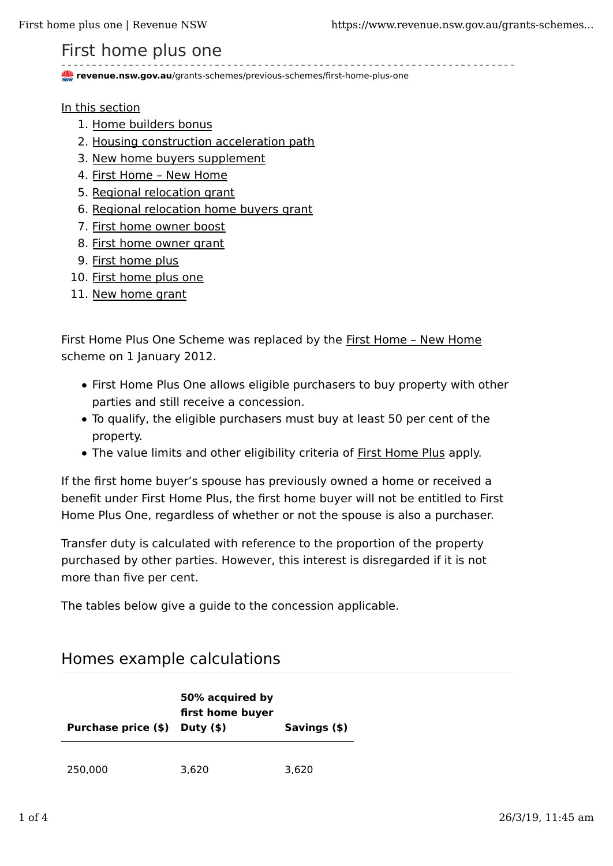## First home plus one

**revenue.nsw.gov.au**/grants-schemes/previous-schemes/first-home-plus-one

In this section

- 1. Home builders bonus
- 2. Housing construction acceleration path
- 3. New home buyers supplement
- 4. First Home New Home
- 5. Regional relocation grant
- 6. Regional relocation home buyers grant
- 7. First home owner boost
- 8. First home owner grant
- 9. First home plus
- 10. First home plus one
- 11. New home grant

First Home Plus One Scheme was replaced by the First Home – New Home scheme on 1 January 2012.

- First Home Plus One allows eligible purchasers to buy property with other parties and still receive a concession.
- To qualify, the eligible purchasers must buy at least 50 per cent of the property.
- The value limits and other eligibility criteria of First Home Plus apply.

If the first home buyer's spouse has previously owned a home or received a benefit under First Home Plus, the first home buyer will not be entitled to First Home Plus One, regardless of whether or not the spouse is also a purchaser.

Transfer duty is calculated with reference to the proportion of the property purchased by other parties. However, this interest is disregarded if it is not more than five per cent.

The tables below give a guide to the concession applicable.

### Homes example calculations

| Purchase price (\$) Duty (\$) | 50% acquired by<br>first home buyer | Savings (\$) |
|-------------------------------|-------------------------------------|--------------|
| 250,000                       | 3.620                               | 3.620        |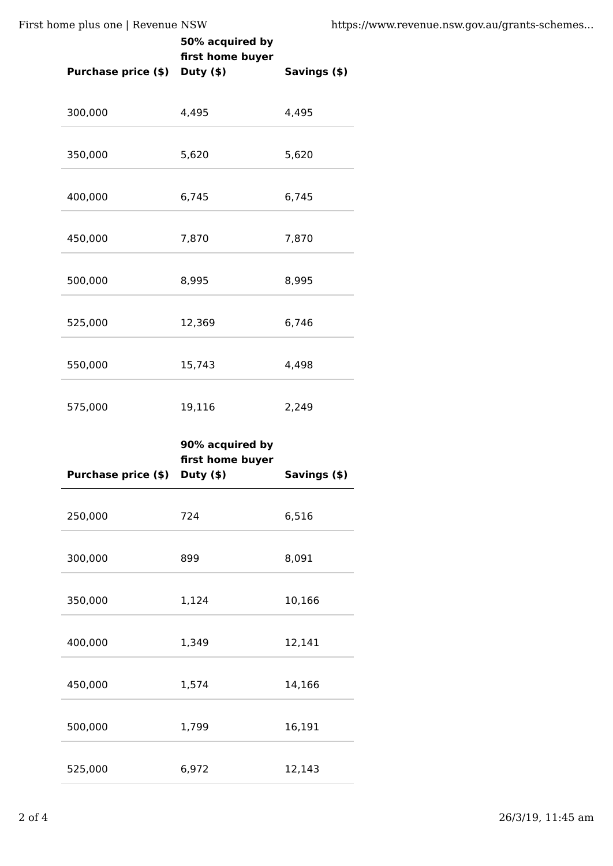First home plus one | Revenue NSW https://www.revenue.nsw.gov.au/grants-schemes...

| $\frac{1}{100}$ plus one   revenue 1991 | 50% acquired by                                        | ոււթշ        |
|-----------------------------------------|--------------------------------------------------------|--------------|
| Purchase price (\$) Duty (\$)           | first home buyer                                       | Savings (\$) |
| 300,000                                 | 4,495                                                  | 4,495        |
| 350,000                                 | 5,620                                                  | 5,620        |
| 400,000                                 | 6,745                                                  | 6,745        |
| 450,000                                 | 7,870                                                  | 7,870        |
| 500,000                                 | 8,995                                                  | 8,995        |
| 525,000                                 | 12,369                                                 | 6,746        |
| 550,000                                 | 15,743                                                 | 4,498        |
| 575,000                                 | 19,116                                                 | 2,249        |
| <b>Purchase price (\$)</b>              | 90% acquired by<br>first home buyer<br>Duty $($ \$ $)$ | Savings (\$) |
| 250,000                                 | 724                                                    | 6,516        |
| 300,000                                 | 899                                                    | 8,091        |
| 350,000                                 | 1,124                                                  | 10,166       |
| 400,000                                 | 1,349                                                  | 12,141       |
| 450,000                                 | 1,574                                                  | 14,166       |
| 500,000                                 | 1,799                                                  | 16,191       |
|                                         |                                                        |              |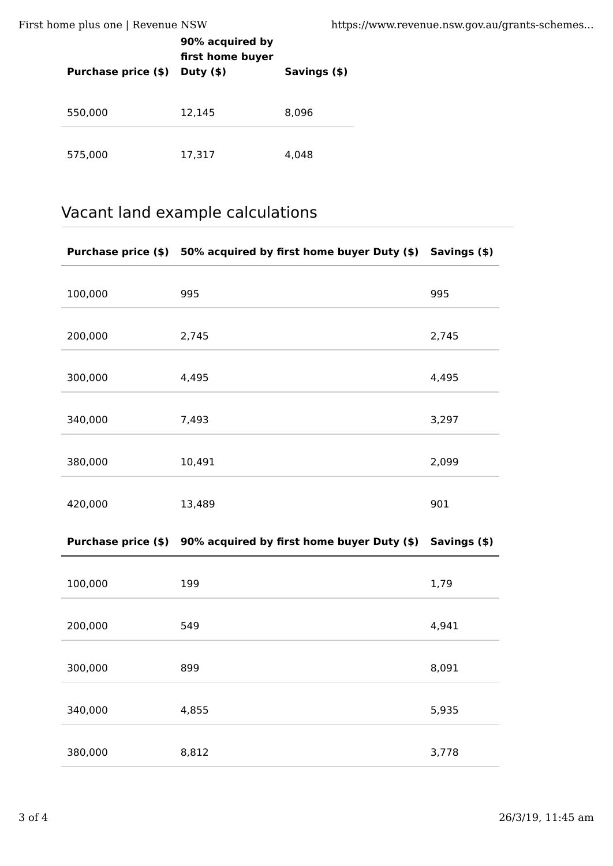First home plus one | Revenue NSW https://www.revenue.nsw.gov.au/grants-schemes...

| <b>Purchase price (\$)</b> | 90% acquired by<br>first home buyer<br>Duty $($ \$ $)$ | Savings (\$) |
|----------------------------|--------------------------------------------------------|--------------|
| 550,000                    | 12,145                                                 | 8.096        |
| 575,000                    | 17,317                                                 | 4.048        |

# Vacant land example calculations

| 100,000 | 995    | 995   |
|---------|--------|-------|
| 200,000 | 2,745  | 2,745 |
| 300,000 | 4,495  | 4,495 |
| 340,000 | 7,493  | 3,297 |
| 380,000 | 10,491 | 2,099 |
| 420,000 | 13,489 | 901   |

### **Purchase price (\$) 90% acquired by first home buyer Duty (\$) Savings (\$)**

| 100,000 | 199   | 1,79  |
|---------|-------|-------|
| 200,000 | 549   | 4,941 |
| 300,000 | 899   | 8,091 |
| 340,000 | 4,855 | 5,935 |
| 380,000 | 8,812 | 3,778 |